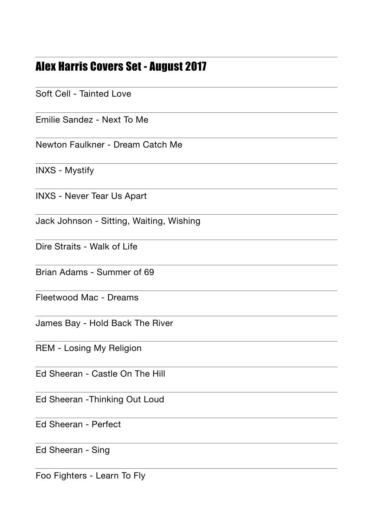## Alex Harris Covers Set - August 2017

Soft Cell - Tainted Love

Emilie Sandez - Next To Me

Newton Faulkner - Dream Catch Me

INXS - Mystify

INXS - Never Tear Us Apart

Jack Johnson - Sitting, Waiting, Wishing

Dire Straits - Walk of Life

Brian Adams - Summer of 69

Fleetwood Mac - Dreams

James Bay - Hold Back The River

REM - Losing My Religion

Ed Sheeran - Castle On The Hill

Ed Sheeran -Thinking Out Loud

Ed Sheeran - Perfect

Ed Sheeran - Sing

Foo Fighters - Learn To Fly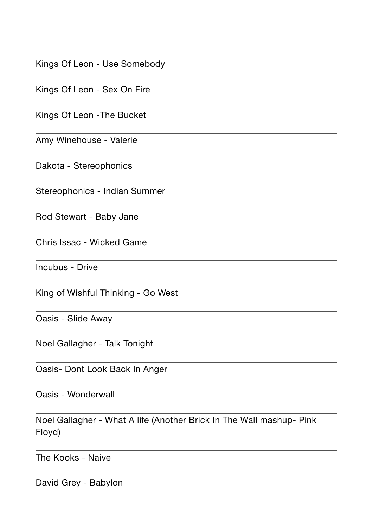|  |  | Kings Of Leon - Use Somebody |
|--|--|------------------------------|
|--|--|------------------------------|

Kings Of Leon - Sex On Fire

Kings Of Leon -The Bucket

Amy Winehouse - Valerie

Dakota - Stereophonics

Stereophonics - Indian Summer

Rod Stewart - Baby Jane

Chris Issac - Wicked Game

Incubus - Drive

King of Wishful Thinking - Go West

Oasis - Slide Away

Noel Gallagher - Talk Tonight

Oasis- Dont Look Back In Anger

Oasis - Wonderwall

Noel Gallagher - What A life (Another Brick In The Wall mashup- Pink Floyd)

The Kooks - Naive

David Grey - Babylon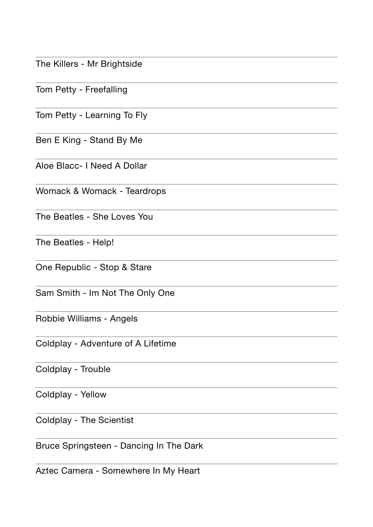The Killers - Mr Brightside

Tom Petty - Freefalling

Tom Petty - Learning To Fly

Ben E King - Stand By Me

Aloe Blacc- I Need A Dollar

Womack & Womack - Teardrops

The Beatles - She Loves You

The Beatles - Help!

One Republic - Stop & Stare

Sam Smith - Im Not The Only One

Robbie Williams - Angels

Coldplay - Adventure of A Lifetime

Coldplay - Trouble

Coldplay - Yellow

Coldplay - The Scientist

Bruce Springsteen - Dancing In The Dark

Aztec Camera - Somewhere In My Heart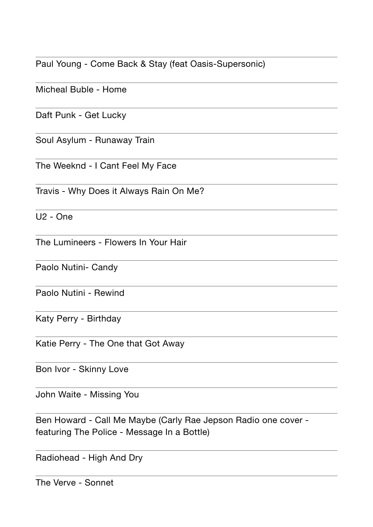Paul Young - Come Back & Stay (feat Oasis-Supersonic)

Micheal Buble - Home

Daft Punk - Get Lucky

Soul Asylum - Runaway Train

The Weeknd - I Cant Feel My Face

Travis - Why Does it Always Rain On Me?

 $U2 - One$ 

The Lumineers - Flowers In Your Hair

Paolo Nutini- Candy

Paolo Nutini - Rewind

Katy Perry - Birthday

Katie Perry - The One that Got Away

Bon Ivor - Skinny Love

John Waite - Missing You

Ben Howard - Call Me Maybe (Carly Rae Jepson Radio one cover featuring The Police - Message In a Bottle)

Radiohead - High And Dry

The Verve - Sonnet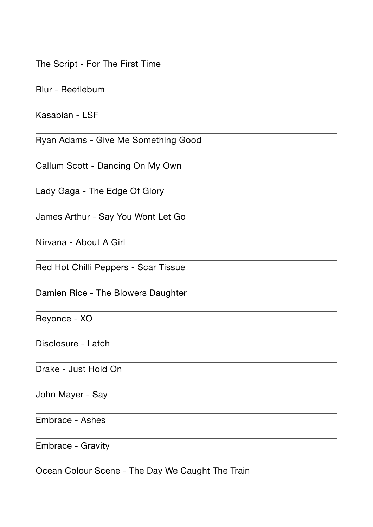The Script - For The First Time

Blur - Beetlebum

Kasabian - LSF

Ryan Adams - Give Me Something Good

Callum Scott - Dancing On My Own

Lady Gaga - The Edge Of Glory

James Arthur - Say You Wont Let Go

Nirvana - About A Girl

Red Hot Chilli Peppers - Scar Tissue

Damien Rice - The Blowers Daughter

Beyonce - XO

Disclosure - Latch

Drake - Just Hold On

John Mayer - Say

Embrace - Ashes

Embrace - Gravity

Ocean Colour Scene - The Day We Caught The Train